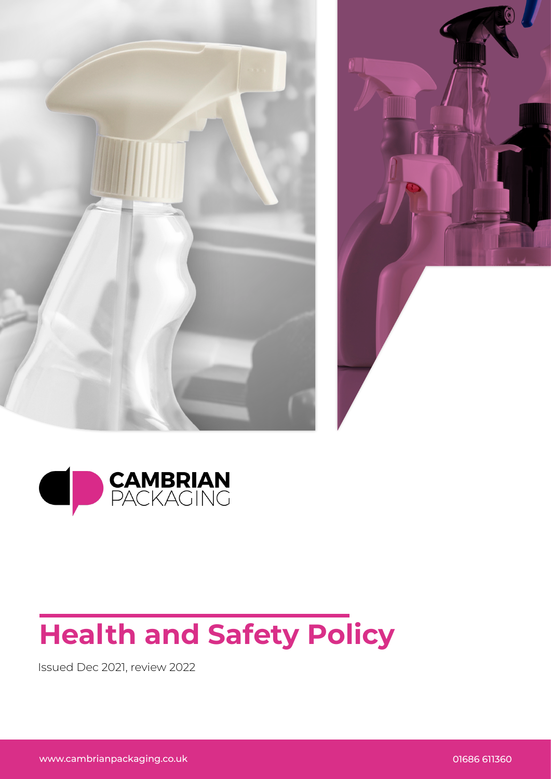





## **Health and Safety Policy**

Issued Dec 2021, review 2022